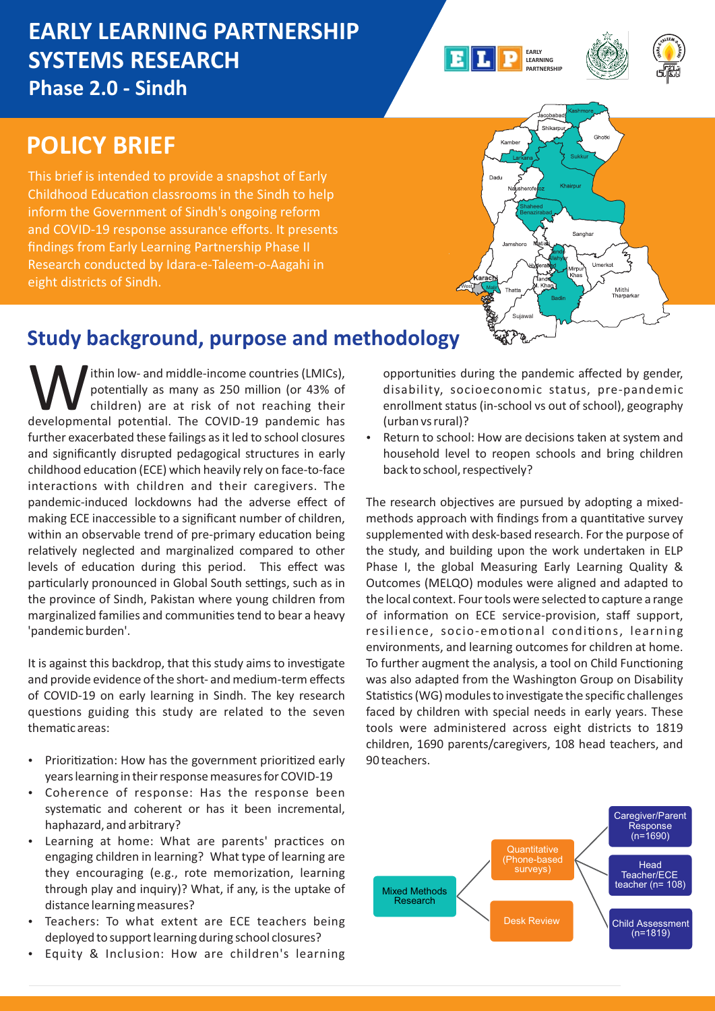# **EARLY LEARNING PARTNERSHIP SYSTEMS RESEARCH Phase 2.0 - Sindh**

#### **EARLY LEARNING PARTNERSHIP**



# **POLICY BRIEF**

This brief is intended to provide a snapshot of Early Childhood Education classrooms in the Sindh to help inform the Government of Sindh's ongoing reform and COVID-19 response assurance efforts. It presents findings from Early Learning Partnership Phase II Research conducted by Idara-e-Taleem-o-Aagahi in eight districts of Sindh.



# **Study background, purpose and methodology**

Ithin low- and middle-income countries (LMICs), potentially as many as 250 million (or 43% of children) are at risk of not reaching their developmental potential. The COVID-19 pandemic has children) are at risk of not reaching their further exacerbated these failings as it led to school closures and significantly disrupted pedagogical structures in early childhood education (ECE) which heavily rely on face-to-face interactions with children and their caregivers. The pandemic-induced lockdowns had the adverse effect of making ECE inaccessible to a significant number of children, within an observable trend of pre-primary education being relatively neglected and marginalized compared to other levels of education during this period. This effect was particularly pronounced in Global South settings, such as in the province of Sindh, Pakistan where young children from marginalized families and communities tend to bear a heavy 'pandemic burden'.

It is against this backdrop, that this study aims to investigate and provide evidence of the short- and medium-term effects of COVID-19 on early learning in Sindh. The key research questions guiding this study are related to the seven thematic areas:

- Prioritization: How has the government prioritized early years learning in their response measures for COVID-19
- Coherence of response: Has the response been systematic and coherent or has it been incremental, haphazard, and arbitrary?
- Learning at home: What are parents' practices on engaging children in learning? What type of learning are they encouraging (e.g., rote memorization, learning through play and inquiry)? What, if any, is the uptake of distance learning measures?
- Teachers: To what extent are ECE teachers being deployed to support learning during school closures?
- Equity & Inclusion: How are children's learning

opportunities during the pandemic affected by gender, disability, socioeconomic status, pre-pandemic enrollment status (in-school vs out of school), geography (urban vs rural)?

Return to school: How are decisions taken at system and household level to reopen schools and bring children back to school, respectively?

The research objectives are pursued by adopting a mixedmethods approach with findings from a quantitative survey supplemented with desk-based research. For the purpose of the study, and building upon the work undertaken in ELP Phase I, the global Measuring Early Learning Quality & Outcomes (MELQO) modules were aligned and adapted to the local context. Four tools were selected to capture a range of information on ECE service-provision, staff support, resilience, socio-emotional conditions, learning environments, and learning outcomes for children at home. To further augment the analysis, a tool on Child Functioning was also adapted from the Washington Group on Disability Statistics (WG) modules to investigate the specific challenges faced by children with special needs in early years. These tools were administered across eight districts to 1819 children, 1690 parents/caregivers, 108 head teachers, and 90 teachers.

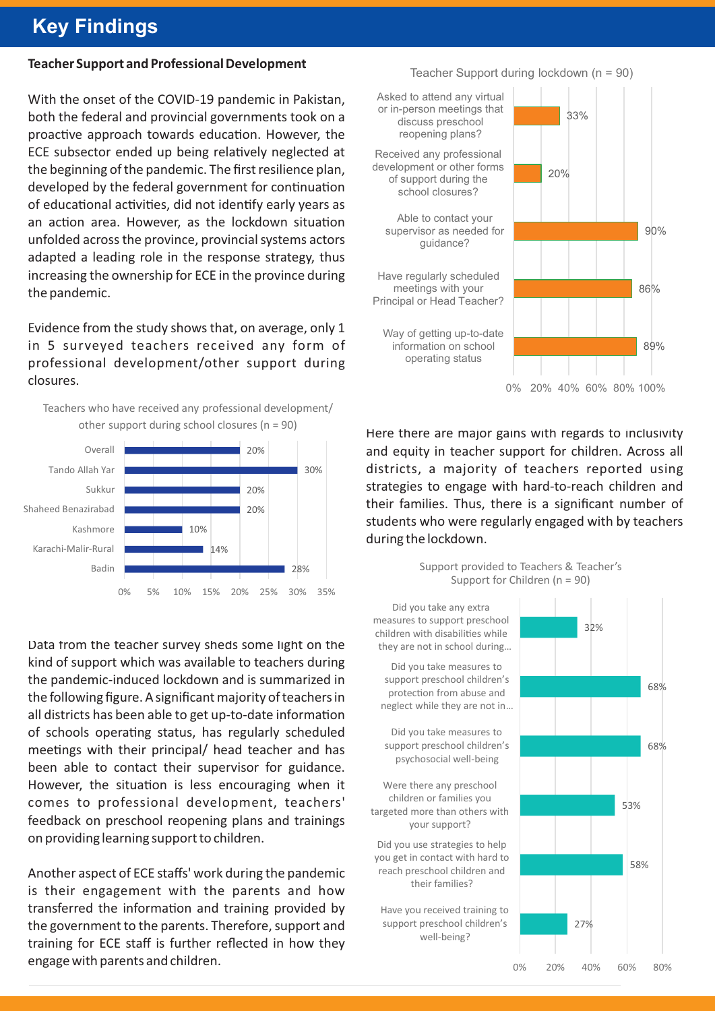# **Key Findings**

### **Teacher Support and Professional Development**

With the onset of the COVID-19 pandemic in Pakistan, both the federal and provincial governments took on a proactive approach towards education. However, the ECE subsector ended up being relatively neglected at the beginning of the pandemic. The first resilience plan, developed by the federal government for continuation of educational activities, did not identify early years as an action area. However, as the lockdown situation unfolded across the province, provincial systems actors adapted a leading role in the response strategy, thus increasing the ownership for ECE in the province during the pandemic.

Evidence from the study shows that, on average, only 1 in 5 surveyed teachers received any form of professional development/other support during closures.



Data from the teacher survey sheds some light on the kind of support which was available to teachers during the pandemic-induced lockdown and is summarized in the following figure. A significant majority of teachers in all districts has been able to get up-to-date information of schools operating status, has regularly scheduled meetings with their principal/ head teacher and has been able to contact their supervisor for guidance. However, the situation is less encouraging when it comes to professional development, teachers' feedback on preschool reopening plans and trainings on providing learning support to children.

Another aspect of ECE staffs' work during the pandemic is their engagement with the parents and how transferred the information and training provided by the government to the parents. Therefore, support and training for ECE staff is further reflected in how they engage with parents and children.



Here there are major gains with regards to inclusivity and equity in teacher support for children. Across all districts, a majority of teachers reported using strategies to engage with hard-to-reach children and their families. Thus, there is a significant number of students who were regularly engaged with by teachers during the lockdown.





#### Teacher Support during lockdown (n = 90)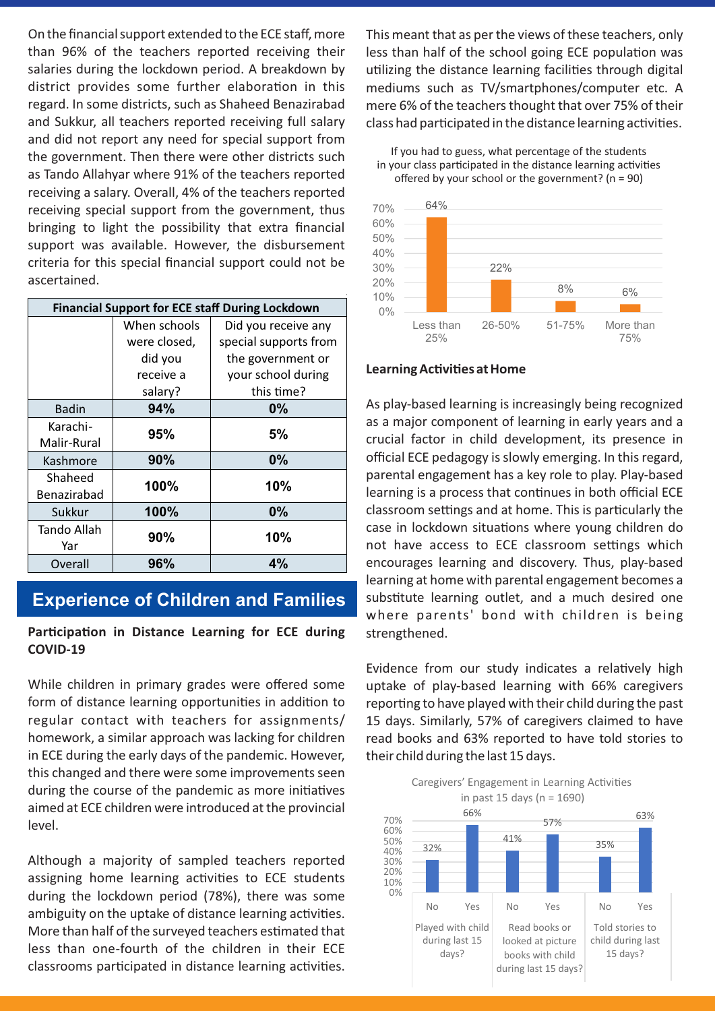On the financial support extended to the ECE staff, more than 96% of the teachers reported receiving their salaries during the lockdown period. A breakdown by district provides some further elaboration in this regard. In some districts, such as Shaheed Benazirabad and Sukkur, all teachers reported receiving full salary and did not report any need for special support from the government. Then there were other districts such as Tando Allahyar where 91% of the teachers reported receiving a salary. Overall, 4% of the teachers reported receiving special support from the government, thus bringing to light the possibility that extra financial support was available. However, the disbursement criteria for this special financial support could not be ascertained.

| <b>Financial Support for ECE staff During Lockdown</b> |              |                       |  |
|--------------------------------------------------------|--------------|-----------------------|--|
|                                                        | When schools | Did you receive any   |  |
|                                                        | were closed, | special supports from |  |
|                                                        | did you      | the government or     |  |
|                                                        | receive a    | your school during    |  |
|                                                        | salary?      | this time?            |  |
| <b>Badin</b>                                           | 94%          | 0%                    |  |
| Karachi-                                               | 95%          | 5%                    |  |
| Malir-Rural                                            |              |                       |  |
| Kashmore                                               | 90%          | 0%                    |  |
| Shaheed                                                | 100%         | 10%                   |  |
| Benazirabad                                            |              |                       |  |
| Sukkur                                                 | 100%         | 0%                    |  |
| Tando Allah                                            | 90%          | 10%                   |  |
| Yar                                                    |              |                       |  |
| Overall                                                | 96%          | 4%                    |  |

## **Experience of Children and Families**

### **Participation in Distance Learning for ECE during COVID-19**

While children in primary grades were offered some form of distance learning opportunities in addition to regular contact with teachers for assignments/ homework, a similar approach was lacking for children in ECE during the early days of the pandemic. However, this changed and there were some improvements seen during the course of the pandemic as more initiatives aimed at ECE children were introduced at the provincial level.

Although a majority of sampled teachers reported assigning home learning activities to ECE students during the lockdown period (78%), there was some ambiguity on the uptake of distance learning activities. More than half of the surveyed teachers estimated that less than one-fourth of the children in their ECE classrooms participated in distance learning activities.

This meant that as per the views of these teachers, only less than half of the school going ECE population was utilizing the distance learning facilities through digital mediums such as TV/smartphones/computer etc. A mere 6% of the teachers thought that over 75% of their class had participated in the distance learning activities.

If you had to guess, what percentage of the students in your class participated in the distance learning activities offered by your school or the government? ( $n = 90$ )



#### **Learning Activities at Home**

As play-based learning is increasingly being recognized as a major component of learning in early years and a crucial factor in child development, its presence in official ECE pedagogy is slowly emerging. In this regard, parental engagement has a key role to play. Play-based learning is a process that continues in both official ECE classroom settings and at home. This is particularly the case in lockdown situations where young children do not have access to ECE classroom settings which encourages learning and discovery. Thus, play-based learning at home with parental engagement becomes a substitute learning outlet, and a much desired one where parents' bond with children is being strengthened.

Evidence from our study indicates a relatively high uptake of play-based learning with 66% caregivers reporting to have played with their child during the past 15 days. Similarly, 57% of caregivers claimed to have read books and 63% reported to have told stories to their child during the last 15 days.

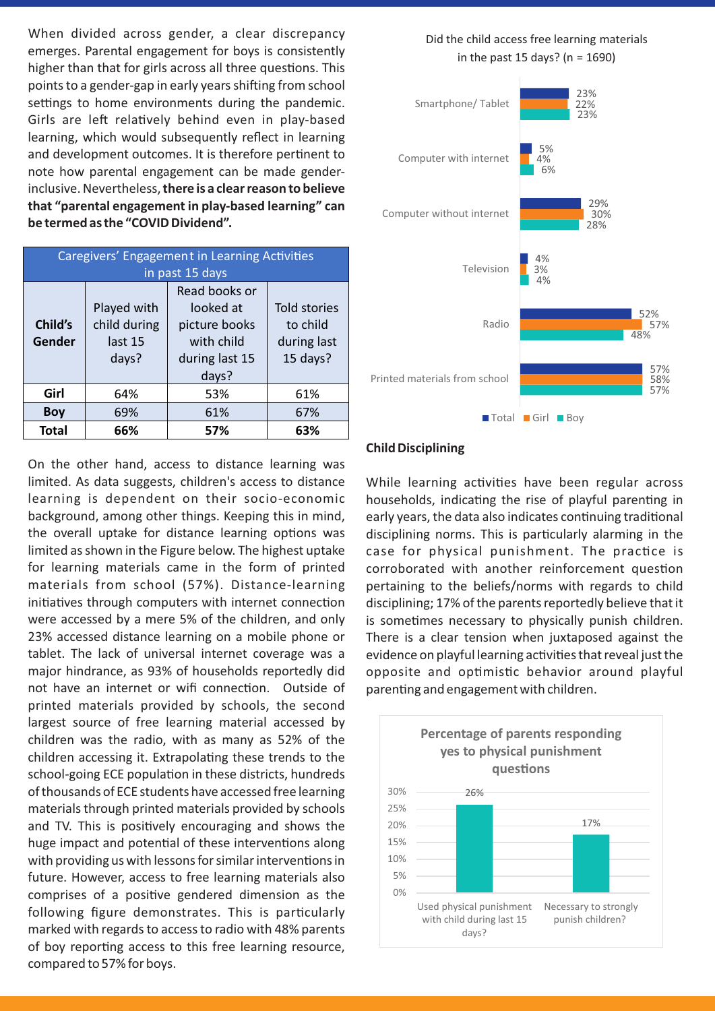When divided across gender, a clear discrepancy emerges. Parental engagement for boys is consistently higher than that for girls across all three questions. This points to a gender-gap in early years shifting from school settings to home environments during the pandemic. Girls are left relatively behind even in play-based learning, which would subsequently reflect in learning and development outcomes. It is therefore pertinent to note how parental engagement can be made genderinclusive. Nevertheless, **there is a clear reason to believe that "parental engagement in play-based learning" can be termed as the "COVID Dividend".**

| Caregivers' Engagement in Learning Activities |                 |                |                     |  |
|-----------------------------------------------|-----------------|----------------|---------------------|--|
|                                               | in past 15 days |                |                     |  |
|                                               |                 | Read books or  |                     |  |
|                                               | Played with     | looked at      | <b>Told stories</b> |  |
| Child's                                       | child during    | picture books  | to child            |  |
| Gender                                        | last 15         | with child     | during last         |  |
|                                               | days?           | during last 15 | 15 days?            |  |
|                                               |                 | days?          |                     |  |
| Girl                                          | 64%             | 53%            | 61%                 |  |
| <b>Boy</b>                                    | 69%             | 61%            | 67%                 |  |
| <b>Total</b>                                  | 66%             | 57%            | 63%                 |  |

On the other hand, access to distance learning was limited. As data suggests, children's access to distance learning is dependent on their socio-economic background, among other things. Keeping this in mind, the overall uptake for distance learning options was limited as shown in the Figure below. The highest uptake for learning materials came in the form of printed materials from school (57%). Distance-learning initiatives through computers with internet connection were accessed by a mere 5% of the children, and only 23% accessed distance learning on a mobile phone or tablet. The lack of universal internet coverage was a major hindrance, as 93% of households reportedly did not have an internet or wifi connection. Outside of printed materials provided by schools, the second largest source of free learning material accessed by children was the radio, with as many as 52% of the children accessing it. Extrapolating these trends to the school-going ECE population in these districts, hundreds of thousands of ECE students have accessed free learning materials through printed materials provided by schools and TV. This is positively encouraging and shows the huge impact and potential of these interventions along with providing us with lessons for similar interventions in future. However, access to free learning materials also comprises of a positive gendered dimension as the following figure demonstrates. This is particularly marked with regards to access to radio with 48% parents of boy reporting access to this free learning resource, compared to 57% for boys.

Did the child access free learning materials in the past 15 days? (n = 1690)



#### **Child Disciplining**

While learning activities have been regular across households, indicating the rise of playful parenting in early years, the data also indicates continuing traditional disciplining norms. This is particularly alarming in the case for physical punishment. The practice is corroborated with another reinforcement question pertaining to the beliefs/norms with regards to child disciplining; 17% of the parents reportedly believe that it is sometimes necessary to physically punish children. There is a clear tension when juxtaposed against the evidence on playful learning activities that reveal just the opposite and optimistic behavior around playful parenting and engagement with children.

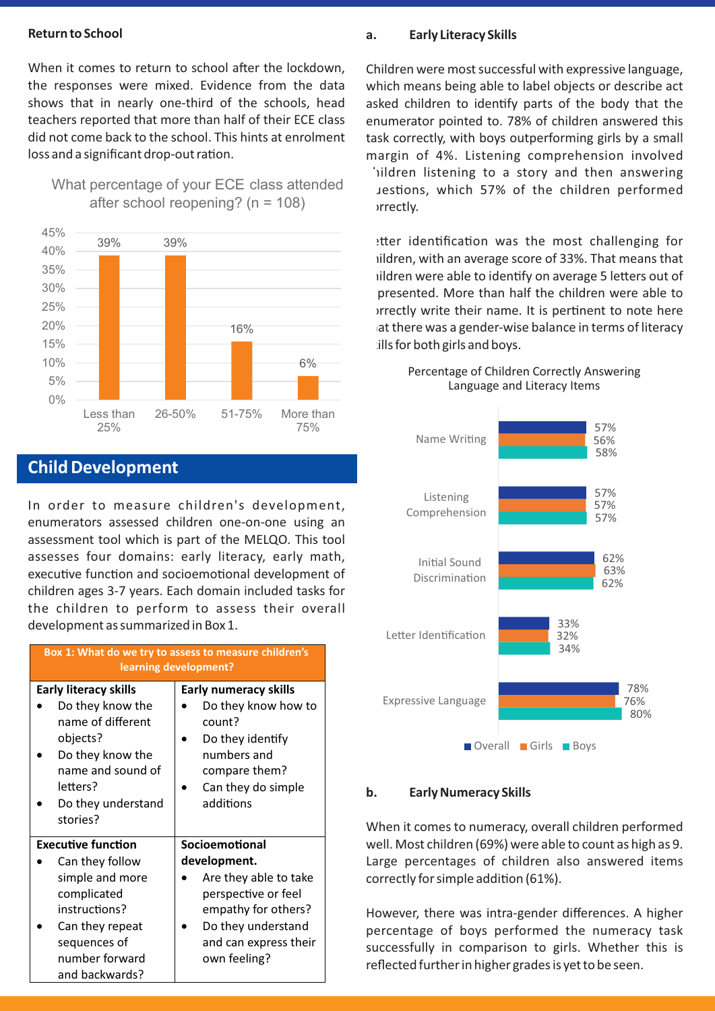#### **Return to School**

When it comes to return to school after the lockdown, the responses were mixed. Evidence from the data shows that in nearly one-third of the schools, head teachers reported that more than half of their ECE class did not come back to the school. This hints at enrolment loss and a significant drop-out ration.





## **Child Development**

In order to measure children's development, enumerators assessed children one-on-one using an assessment tool which is part of the MELQO. This tool assesses four domains: early literacy, early math, executive function and socioemotional development of children ages 3-7 years. Each domain included tasks for the children to perform to assess their overall development as summarized in Box 1.

| Box 1: What do we try to assess to measure children's<br>learning development?                                                                                           |                                                                                                                                                                      |  |  |
|--------------------------------------------------------------------------------------------------------------------------------------------------------------------------|----------------------------------------------------------------------------------------------------------------------------------------------------------------------|--|--|
| <b>Early literacy skills</b><br>Do they know the<br>name of different<br>objects?<br>Do they know the<br>name and sound of<br>letters?<br>Do they understand<br>stories? | <b>Early numeracy skills</b><br>Do they know how to<br>count?<br>Do they identify<br>numbers and<br>compare them?<br>Can they do simple<br>additions                 |  |  |
| <b>Executive function</b><br>Can they follow<br>simple and more<br>complicated<br>instructions?<br>Can they repeat<br>sequences of<br>number forward<br>and backwards?   | Socioemotional<br>development.<br>Are they able to take<br>perspective or feel<br>empathy for others?<br>Do they understand<br>and can express their<br>own feeling? |  |  |

#### **a. Early Literacy Skills**

Children were most successful with expressive language, which means being able to label objects or describe act asked children to identify parts of the body that the enumerator pointed to. 78% of children answered this task correctly, with boys outperforming girls by a small margin of 4%. Listening comprehension involved iildren listening to a story and then answering Jestions, which 57% of the children performed *crectly*.

etter identification was the most challenging for ildren, with an average score of 33%. That means that ildren were able to identify on average 5 letters out of presented. More than half the children were able to prrectly write their name. It is pertinent to note here at there was a gender-wise balance in terms of literacy ills for both girls and boys.

#### Percentage of Children Correctly Answering Language and Literacy Items



#### **b. Early Numeracy Skills**

When it comes to numeracy, overall children performed well. Most children (69%) were able to count as high as 9. Large percentages of children also answered items correctly for simple addition (61%).

However, there was intra-gender differences. A higher percentage of boys performed the numeracy task successfully in comparison to girls. Whether this is reflected further in higher grades is yet to be seen.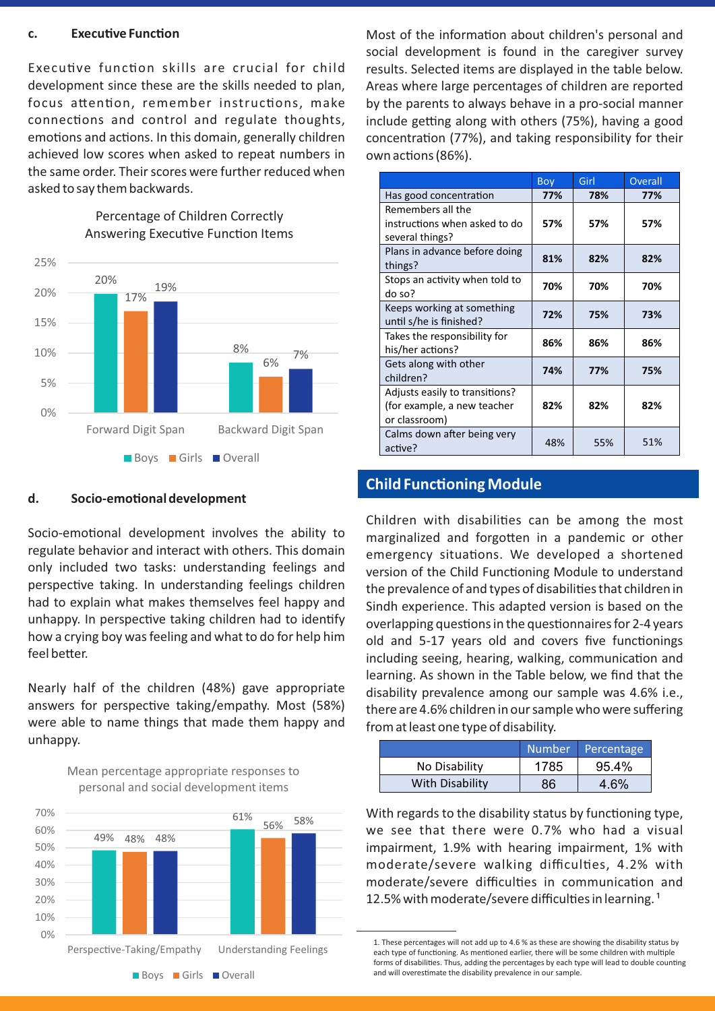#### **c. Executive Function**

Executive function skills are crucial for child development since these are the skills needed to plan, focus attention, remember instructions, make connections and control and regulate thoughts, emotions and actions. In this domain, generally children achieved low scores when asked to repeat numbers in the same order. Their scores were further reduced when asked to say them backwards.



Percentage of Children Correctly Answering Executive Function Items

#### d. Socio-emotional development

Socio-emotional development involves the ability to regulate behavior and interact with others. This domain only included two tasks: understanding feelings and perspective taking. In understanding feelings children had to explain what makes themselves feel happy and unhappy. In perspective taking children had to identify how a crying boy was feeling and what to do for help him feel better.

Nearly half of the children (48%) gave appropriate answers for perspective taking/empathy. Most (58%) were able to name things that made them happy and unhappy.

Mean percentage appropriate responses to



Most of the information about children's personal and social development is found in the caregiver survey results. Selected items are displayed in the table below. Areas where large percentages of children are reported by the parents to always behave in a pro-social manner include getting along with others (75%), having a good concentration (77%), and taking responsibility for their own actions (86%).

|                                                                                | Boy | Girl | <b>Overall</b> |
|--------------------------------------------------------------------------------|-----|------|----------------|
| Has good concentration                                                         | 77% | 78%  | 77%            |
| Remembers all the<br>instructions when asked to do<br>several things?          | 57% | 57%  | 57%            |
| Plans in advance before doing<br>things?                                       | 81% | 82%  | 82%            |
| Stops an activity when told to<br>do so?                                       | 70% | 70%  | 70%            |
| Keeps working at something<br>until s/he is finished?                          | 72% | 75%  | 73%            |
| Takes the responsibility for<br>his/her actions?                               | 86% | 86%  | 86%            |
| Gets along with other<br>children?                                             | 74% | 77%  | 75%            |
| Adjusts easily to transitions?<br>(for example, a new teacher<br>or classroom) | 82% | 82%  | 82%            |
| Calms down after being very<br>active?                                         | 48% | 55%  | 51%            |

### **Child Functioning Module**

Children with disabilities can be among the most marginalized and forgotten in a pandemic or other emergency situations. We developed a shortened version of the Child Functioning Module to understand the prevalence of and types of disabilities that children in Sindh experience. This adapted version is based on the overlapping questions in the questionnaires for 2-4 years old and 5-17 years old and covers five functionings including seeing, hearing, walking, communication and learning. As shown in the Table below, we find that the disability prevalence among our sample was 4.6% i.e., there are 4.6% children in our sample who were suffering from at least one type of disability.

|                 | Number | Percentage |
|-----------------|--------|------------|
| No Disability   | 1785   | 95.4%      |
| With Disability | 86     | 4.6%       |

With regards to the disability status by functioning type, we see that there were 0.7% who had a visual impairment, 1.9% with hearing impairment, 1% with moderate/severe walking difficulties, 4.2% with moderate/severe difficulties in communication and 12.5% with moderate/severe difficulties in learning.<sup>1</sup>

<sup>1.</sup> These percentages will not add up to 4.6 % as these are showing the disability status by each type of functioning. As mentioned earlier, there will be some children with multiple forms of disabilities. Thus, adding the percentages by each type will lead to double counting and will overestimate the disability prevalence in our sample.